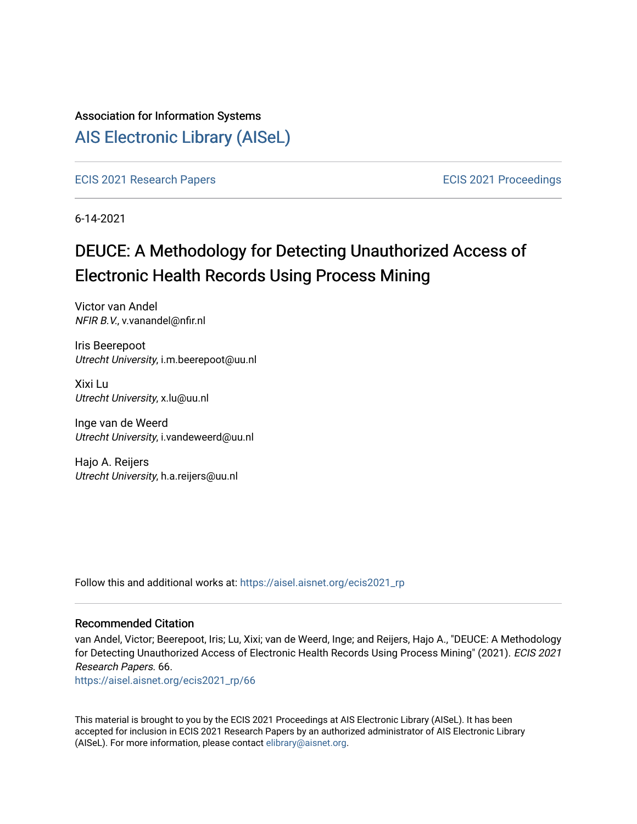## Association for Information Systems

## [AIS Electronic Library \(AISeL\)](https://aisel.aisnet.org/)

[ECIS 2021 Research Papers](https://aisel.aisnet.org/ecis2021_rp) [ECIS 2021 Proceedings](https://aisel.aisnet.org/ecis2021) 

6-14-2021

# DEUCE: A Methodology for Detecting Unauthorized Access of Electronic Health Records Using Process Mining

Victor van Andel NFIR B.V., v.vanandel@nfir.nl

Iris Beerepoot Utrecht University, i.m.beerepoot@uu.nl

Xixi Lu Utrecht University, x.lu@uu.nl

Inge van de Weerd Utrecht University, i.vandeweerd@uu.nl

Hajo A. Reijers Utrecht University, h.a.reijers@uu.nl

Follow this and additional works at: [https://aisel.aisnet.org/ecis2021\\_rp](https://aisel.aisnet.org/ecis2021_rp?utm_source=aisel.aisnet.org%2Fecis2021_rp%2F66&utm_medium=PDF&utm_campaign=PDFCoverPages)

#### Recommended Citation

van Andel, Victor; Beerepoot, Iris; Lu, Xixi; van de Weerd, Inge; and Reijers, Hajo A., "DEUCE: A Methodology for Detecting Unauthorized Access of Electronic Health Records Using Process Mining" (2021). ECIS 2021 Research Papers. 66.

[https://aisel.aisnet.org/ecis2021\\_rp/66](https://aisel.aisnet.org/ecis2021_rp/66?utm_source=aisel.aisnet.org%2Fecis2021_rp%2F66&utm_medium=PDF&utm_campaign=PDFCoverPages) 

This material is brought to you by the ECIS 2021 Proceedings at AIS Electronic Library (AISeL). It has been accepted for inclusion in ECIS 2021 Research Papers by an authorized administrator of AIS Electronic Library (AISeL). For more information, please contact [elibrary@aisnet.org](mailto:elibrary@aisnet.org%3E).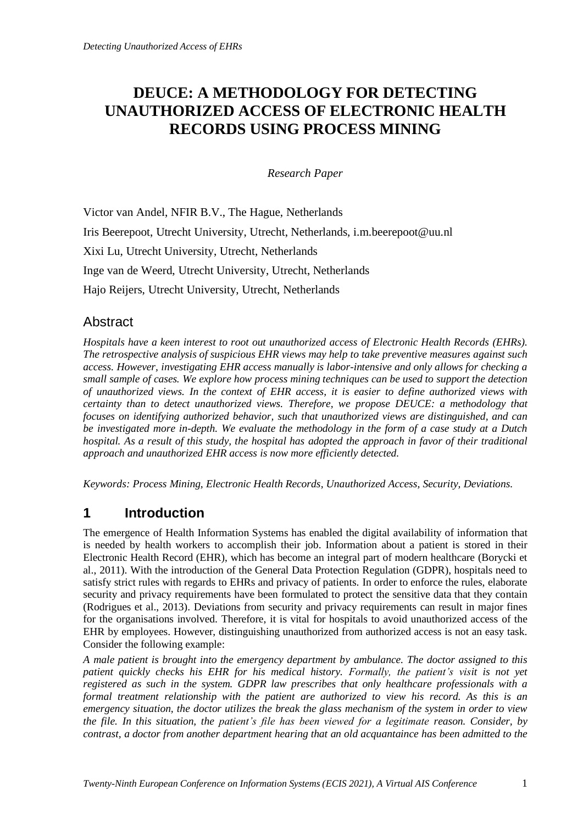## **DEUCE: A METHODOLOGY FOR DETECTING UNAUTHORIZED ACCESS OF ELECTRONIC HEALTH RECORDS USING PROCESS MINING**

*Research Paper*

Victor van Andel, NFIR B.V., The Hague, Netherlands Iris Beerepoot, Utrecht University, Utrecht, Netherlands, i.m.beerepoot@uu.nl Xixi Lu, Utrecht University, Utrecht, Netherlands Inge van de Weerd, Utrecht University, Utrecht, Netherlands Hajo Reijers, Utrecht University, Utrecht, Netherlands

## **Abstract**

*Hospitals have a keen interest to root out unauthorized access of Electronic Health Records (EHRs). The retrospective analysis of suspicious EHR views may help to take preventive measures against such access. However, investigating EHR access manually is labor-intensive and only allows for checking a small sample of cases. We explore how process mining techniques can be used to support the detection of unauthorized views. In the context of EHR access, it is easier to define authorized views with certainty than to detect unauthorized views. Therefore, we propose DEUCE: a methodology that focuses on identifying authorized behavior, such that unauthorized views are distinguished, and can be investigated more in-depth. We evaluate the methodology in the form of a case study at a Dutch hospital. As a result of this study, the hospital has adopted the approach in favor of their traditional approach and unauthorized EHR access is now more efficiently detected.*

*Keywords: Process Mining, Electronic Health Records, Unauthorized Access, Security, Deviations.*

## **1 Introduction**

The emergence of Health Information Systems has enabled the digital availability of information that is needed by health workers to accomplish their job. Information about a patient is stored in their Electronic Health Record (EHR), which has become an integral part of modern healthcare (Borycki et al., 2011). With the introduction of the General Data Protection Regulation (GDPR), hospitals need to satisfy strict rules with regards to EHRs and privacy of patients. In order to enforce the rules, elaborate security and privacy requirements have been formulated to protect the sensitive data that they contain (Rodrigues et al., 2013). Deviations from security and privacy requirements can result in major fines for the organisations involved. Therefore, it is vital for hospitals to avoid unauthorized access of the EHR by employees. However, distinguishing unauthorized from authorized access is not an easy task. Consider the following example:

*A male patient is brought into the emergency department by ambulance. The doctor assigned to this patient quickly checks his EHR for his medical history. Formally, the patient's visit is not yet registered as such in the system. GDPR law prescribes that only healthcare professionals with a formal treatment relationship with the patient are authorized to view his record. As this is an emergency situation, the doctor utilizes the break the glass mechanism of the system in order to view the file. In this situation, the patient's file has been viewed for a legitimate reason. Consider, by contrast, a doctor from another department hearing that an old acquantaince has been admitted to the*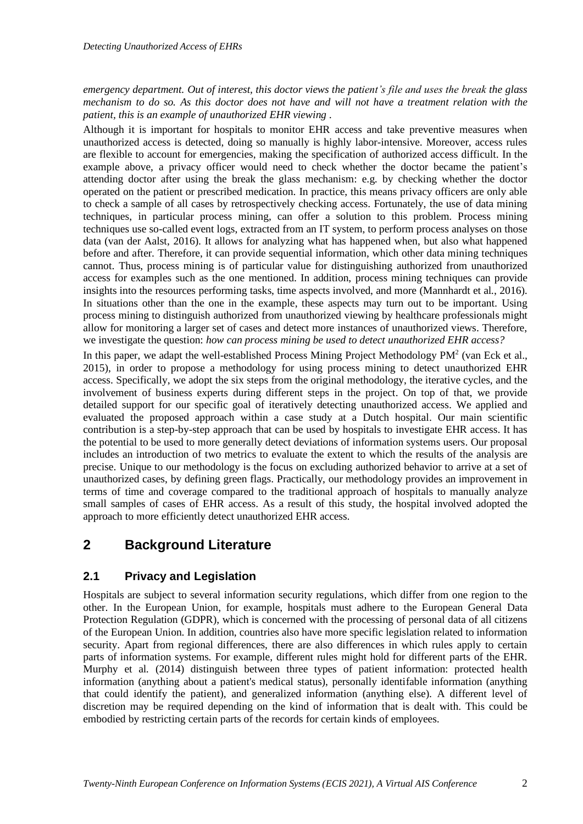*emergency department. Out of interest, this doctor views the patient's file and uses the break the glass mechanism to do so. As this doctor does not have and will not have a treatment relation with the patient, this is an example of unauthorized EHR viewing .*

Although it is important for hospitals to monitor EHR access and take preventive measures when unauthorized access is detected, doing so manually is highly labor-intensive. Moreover, access rules are flexible to account for emergencies, making the specification of authorized access difficult. In the example above, a privacy officer would need to check whether the doctor became the patient's attending doctor after using the break the glass mechanism: e.g. by checking whether the doctor operated on the patient or prescribed medication. In practice, this means privacy officers are only able to check a sample of all cases by retrospectively checking access. Fortunately, the use of data mining techniques, in particular process mining, can offer a solution to this problem. Process mining techniques use so-called event logs, extracted from an IT system, to perform process analyses on those data (van der Aalst, 2016). It allows for analyzing what has happened when, but also what happened before and after. Therefore, it can provide sequential information, which other data mining techniques cannot. Thus, process mining is of particular value for distinguishing authorized from unauthorized access for examples such as the one mentioned. In addition, process mining techniques can provide insights into the resources performing tasks, time aspects involved, and more (Mannhardt et al., 2016). In situations other than the one in the example, these aspects may turn out to be important. Using process mining to distinguish authorized from unauthorized viewing by healthcare professionals might allow for monitoring a larger set of cases and detect more instances of unauthorized views. Therefore, we investigate the question: *how can process mining be used to detect unauthorized EHR access?*

In this paper, we adapt the well-established Process Mining Project Methodology  $PM<sup>2</sup>$  (van Eck et al., 2015), in order to propose a methodology for using process mining to detect unauthorized EHR access. Specifically, we adopt the six steps from the original methodology, the iterative cycles, and the involvement of business experts during different steps in the project. On top of that, we provide detailed support for our specific goal of iteratively detecting unauthorized access. We applied and evaluated the proposed approach within a case study at a Dutch hospital. Our main scientific contribution is a step-by-step approach that can be used by hospitals to investigate EHR access. It has the potential to be used to more generally detect deviations of information systems users. Our proposal includes an introduction of two metrics to evaluate the extent to which the results of the analysis are precise. Unique to our methodology is the focus on excluding authorized behavior to arrive at a set of unauthorized cases, by defining green flags. Practically, our methodology provides an improvement in terms of time and coverage compared to the traditional approach of hospitals to manually analyze small samples of cases of EHR access. As a result of this study, the hospital involved adopted the approach to more efficiently detect unauthorized EHR access.

## **2 Background Literature**

## **2.1 Privacy and Legislation**

Hospitals are subject to several information security regulations, which differ from one region to the other. In the European Union, for example, hospitals must adhere to the European General Data Protection Regulation (GDPR), which is concerned with the processing of personal data of all citizens of the European Union. In addition, countries also have more specific legislation related to information security. Apart from regional differences, there are also differences in which rules apply to certain parts of information systems. For example, different rules might hold for different parts of the EHR. Murphy et al. (2014) distinguish between three types of patient information: protected health information (anything about a patient's medical status), personally identifable information (anything that could identify the patient), and generalized information (anything else). A different level of discretion may be required depending on the kind of information that is dealt with. This could be embodied by restricting certain parts of the records for certain kinds of employees.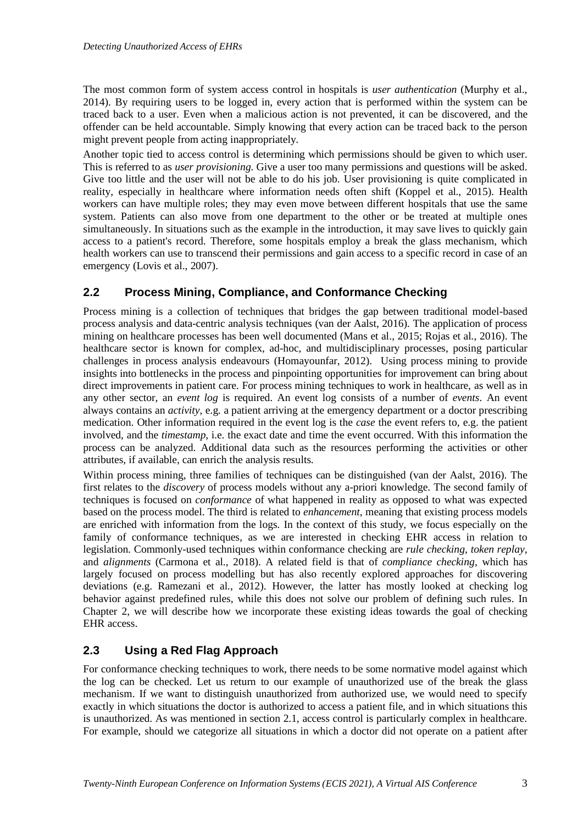The most common form of system access control in hospitals is *user authentication* (Murphy et al., 2014). By requiring users to be logged in, every action that is performed within the system can be traced back to a user. Even when a malicious action is not prevented, it can be discovered, and the offender can be held accountable. Simply knowing that every action can be traced back to the person might prevent people from acting inappropriately.

Another topic tied to access control is determining which permissions should be given to which user. This is referred to as *user provisioning*. Give a user too many permissions and questions will be asked. Give too little and the user will not be able to do his job. User provisioning is quite complicated in reality, especially in healthcare where information needs often shift (Koppel et al., 2015). Health workers can have multiple roles; they may even move between different hospitals that use the same system. Patients can also move from one department to the other or be treated at multiple ones simultaneously. In situations such as the example in the introduction, it may save lives to quickly gain access to a patient's record. Therefore, some hospitals employ a break the glass mechanism, which health workers can use to transcend their permissions and gain access to a specific record in case of an emergency (Lovis et al., 2007).

### **2.2 Process Mining, Compliance, and Conformance Checking**

Process mining is a collection of techniques that bridges the gap between traditional model-based process analysis and data-centric analysis techniques (van der Aalst, 2016). The application of process mining on healthcare processes has been well documented (Mans et al., 2015; Rojas et al., 2016). The healthcare sector is known for complex, ad-hoc, and multidisciplinary processes, posing particular challenges in process analysis endeavours (Homayounfar, 2012). Using process mining to provide insights into bottlenecks in the process and pinpointing opportunities for improvement can bring about direct improvements in patient care. For process mining techniques to work in healthcare, as well as in any other sector, an *event log* is required. An event log consists of a number of *events*. An event always contains an *activity*, e.g. a patient arriving at the emergency department or a doctor prescribing medication. Other information required in the event log is the *case* the event refers to, e.g. the patient involved, and the *timestamp*, i.e. the exact date and time the event occurred. With this information the process can be analyzed. Additional data such as the resources performing the activities or other attributes, if available, can enrich the analysis results.

Within process mining, three families of techniques can be distinguished (van der Aalst, 2016). The first relates to the *discovery* of process models without any a-priori knowledge. The second family of techniques is focused on *conformance* of what happened in reality as opposed to what was expected based on the process model. The third is related to *enhancement*, meaning that existing process models are enriched with information from the logs. In the context of this study, we focus especially on the family of conformance techniques, as we are interested in checking EHR access in relation to legislation. Commonly-used techniques within conformance checking are *rule checking*, *token replay*, and *alignments* (Carmona et al., 2018). A related field is that of *compliance checking*, which has largely focused on process modelling but has also recently explored approaches for discovering deviations (e.g. Ramezani et al., 2012). However, the latter has mostly looked at checking log behavior against predefined rules, while this does not solve our problem of defining such rules. In Chapter 2, we will describe how we incorporate these existing ideas towards the goal of checking EHR access.

## **2.3 Using a Red Flag Approach**

For conformance checking techniques to work, there needs to be some normative model against which the log can be checked. Let us return to our example of unauthorized use of the break the glass mechanism. If we want to distinguish unauthorized from authorized use, we would need to specify exactly in which situations the doctor is authorized to access a patient file, and in which situations this is unauthorized. As was mentioned in section 2.1, access control is particularly complex in healthcare. For example, should we categorize all situations in which a doctor did not operate on a patient after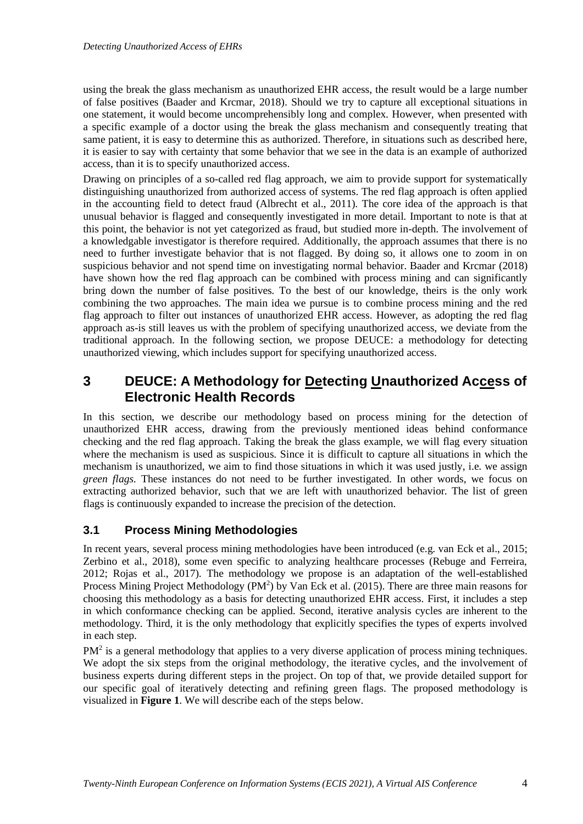using the break the glass mechanism as unauthorized EHR access, the result would be a large number of false positives (Baader and Krcmar, 2018). Should we try to capture all exceptional situations in one statement, it would become uncomprehensibly long and complex. However, when presented with a specific example of a doctor using the break the glass mechanism and consequently treating that same patient, it is easy to determine this as authorized. Therefore, in situations such as described here, it is easier to say with certainty that some behavior that we see in the data is an example of authorized access, than it is to specify unauthorized access.

Drawing on principles of a so-called red flag approach, we aim to provide support for systematically distinguishing unauthorized from authorized access of systems. The red flag approach is often applied in the accounting field to detect fraud (Albrecht et al., 2011). The core idea of the approach is that unusual behavior is flagged and consequently investigated in more detail. Important to note is that at this point, the behavior is not yet categorized as fraud, but studied more in-depth. The involvement of a knowledgable investigator is therefore required. Additionally, the approach assumes that there is no need to further investigate behavior that is not flagged. By doing so, it allows one to zoom in on suspicious behavior and not spend time on investigating normal behavior. Baader and Krcmar (2018) have shown how the red flag approach can be combined with process mining and can significantly bring down the number of false positives. To the best of our knowledge, theirs is the only work combining the two approaches. The main idea we pursue is to combine process mining and the red flag approach to filter out instances of unauthorized EHR access. However, as adopting the red flag approach as-is still leaves us with the problem of specifying unauthorized access, we deviate from the traditional approach. In the following section, we propose DEUCE: a methodology for detecting unauthorized viewing, which includes support for specifying unauthorized access.

## **3 DEUCE: A Methodology for Detecting Unauthorized Access of Electronic Health Records**

In this section, we describe our methodology based on process mining for the detection of unauthorized EHR access, drawing from the previously mentioned ideas behind conformance checking and the red flag approach. Taking the break the glass example, we will flag every situation where the mechanism is used as suspicious. Since it is difficult to capture all situations in which the mechanism is unauthorized, we aim to find those situations in which it was used justly, i.e. we assign *green flags*. These instances do not need to be further investigated. In other words, we focus on extracting authorized behavior, such that we are left with unauthorized behavior. The list of green flags is continuously expanded to increase the precision of the detection.

## **3.1 Process Mining Methodologies**

In recent years, several process mining methodologies have been introduced (e.g. van Eck et al., 2015; Zerbino et al., 2018), some even specific to analyzing healthcare processes (Rebuge and Ferreira, 2012; Rojas et al., 2017). The methodology we propose is an adaptation of the well-established Process Mining Project Methodology ( $PM^2$ ) by Van Eck et al. (2015). There are three main reasons for choosing this methodology as a basis for detecting unauthorized EHR access. First, it includes a step in which conformance checking can be applied. Second, iterative analysis cycles are inherent to the methodology. Third, it is the only methodology that explicitly specifies the types of experts involved in each step.

 $PM<sup>2</sup>$  is a general methodology that applies to a very diverse application of process mining techniques. We adopt the six steps from the original methodology, the iterative cycles, and the involvement of business experts during different steps in the project. On top of that, we provide detailed support for our specific goal of iteratively detecting and refining green flags. The proposed methodology is visualized in **Figure 1**. We will describe each of the steps below.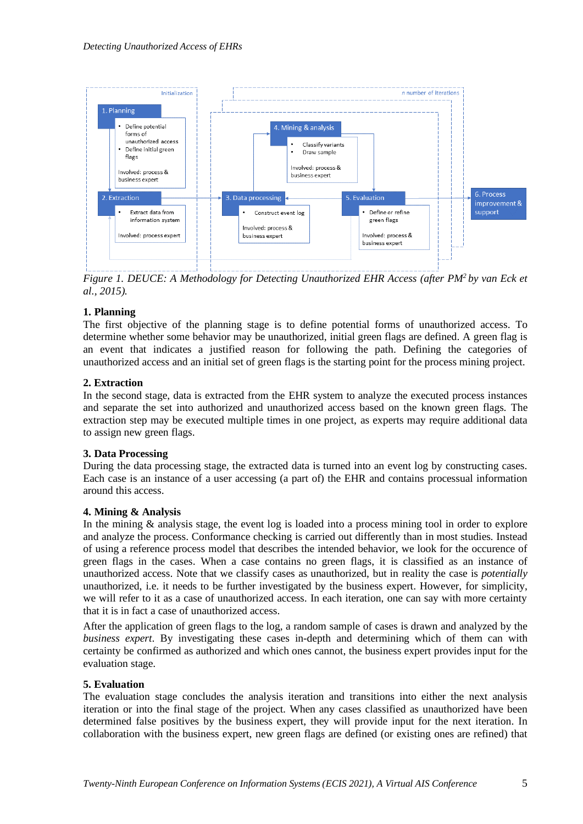

*Figure 1. DEUCE: A Methodology for Detecting Unauthorized EHR Access (after PM<sup>2</sup>by van Eck et al., 2015).*

#### **1. Planning**

The first objective of the planning stage is to define potential forms of unauthorized access. To determine whether some behavior may be unauthorized, initial green flags are defined. A green flag is an event that indicates a justified reason for following the path. Defining the categories of unauthorized access and an initial set of green flags is the starting point for the process mining project.

#### **2. Extraction**

In the second stage, data is extracted from the EHR system to analyze the executed process instances and separate the set into authorized and unauthorized access based on the known green flags. The extraction step may be executed multiple times in one project, as experts may require additional data to assign new green flags.

#### **3. Data Processing**

During the data processing stage, the extracted data is turned into an event log by constructing cases. Each case is an instance of a user accessing (a part of) the EHR and contains processual information around this access.

#### **4. Mining & Analysis**

In the mining & analysis stage, the event log is loaded into a process mining tool in order to explore and analyze the process. Conformance checking is carried out differently than in most studies. Instead of using a reference process model that describes the intended behavior, we look for the occurence of green flags in the cases. When a case contains no green flags, it is classified as an instance of unauthorized access. Note that we classify cases as unauthorized, but in reality the case is *potentially* unauthorized, i.e. it needs to be further investigated by the business expert. However, for simplicity, we will refer to it as a case of unauthorized access. In each iteration, one can say with more certainty that it is in fact a case of unauthorized access.

After the application of green flags to the log, a random sample of cases is drawn and analyzed by the *business expert*. By investigating these cases in-depth and determining which of them can with certainty be confirmed as authorized and which ones cannot, the business expert provides input for the evaluation stage.

### **5. Evaluation**

The evaluation stage concludes the analysis iteration and transitions into either the next analysis iteration or into the final stage of the project. When any cases classified as unauthorized have been determined false positives by the business expert, they will provide input for the next iteration. In collaboration with the business expert, new green flags are defined (or existing ones are refined) that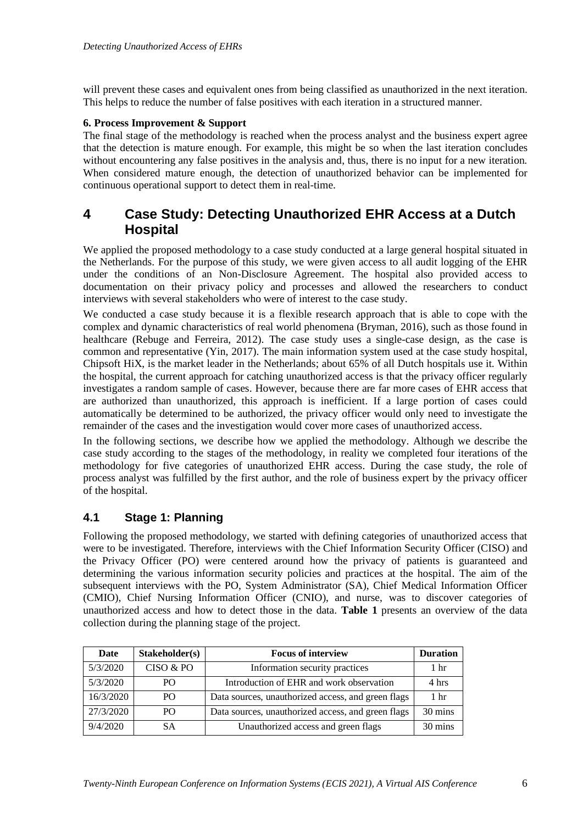will prevent these cases and equivalent ones from being classified as unauthorized in the next iteration. This helps to reduce the number of false positives with each iteration in a structured manner.

#### **6. Process Improvement & Support**

The final stage of the methodology is reached when the process analyst and the business expert agree that the detection is mature enough. For example, this might be so when the last iteration concludes without encountering any false positives in the analysis and, thus, there is no input for a new iteration. When considered mature enough, the detection of unauthorized behavior can be implemented for continuous operational support to detect them in real-time.

## **4 Case Study: Detecting Unauthorized EHR Access at a Dutch Hospital**

We applied the proposed methodology to a case study conducted at a large general hospital situated in the Netherlands. For the purpose of this study, we were given access to all audit logging of the EHR under the conditions of an Non-Disclosure Agreement. The hospital also provided access to documentation on their privacy policy and processes and allowed the researchers to conduct interviews with several stakeholders who were of interest to the case study.

We conducted a case study because it is a flexible research approach that is able to cope with the complex and dynamic characteristics of real world phenomena (Bryman, 2016), such as those found in healthcare (Rebuge and Ferreira, 2012). The case study uses a single-case design, as the case is common and representative (Yin, 2017). The main information system used at the case study hospital, Chipsoft HiX, is the market leader in the Netherlands; about 65% of all Dutch hospitals use it. Within the hospital, the current approach for catching unauthorized access is that the privacy officer regularly investigates a random sample of cases. However, because there are far more cases of EHR access that are authorized than unauthorized, this approach is inefficient. If a large portion of cases could automatically be determined to be authorized, the privacy officer would only need to investigate the remainder of the cases and the investigation would cover more cases of unauthorized access.

In the following sections, we describe how we applied the methodology. Although we describe the case study according to the stages of the methodology, in reality we completed four iterations of the methodology for five categories of unauthorized EHR access. During the case study, the role of process analyst was fulfilled by the first author, and the role of business expert by the privacy officer of the hospital.

### **4.1 Stage 1: Planning**

Following the proposed methodology, we started with defining categories of unauthorized access that were to be investigated. Therefore, interviews with the Chief Information Security Officer (CISO) and the Privacy Officer (PO) were centered around how the privacy of patients is guaranteed and determining the various information security policies and practices at the hospital. The aim of the subsequent interviews with the PO, System Administrator (SA), Chief Medical Information Officer (CMIO), Chief Nursing Information Officer (CNIO), and nurse, was to discover categories of unauthorized access and how to detect those in the data. **Table 1** presents an overview of the data collection during the planning stage of the project.

| Date      | Stakeholder(s)  | <b>Focus of interview</b>                          |                 |  |  |  |  |
|-----------|-----------------|----------------------------------------------------|-----------------|--|--|--|--|
| 5/3/2020  | CISO & PO       | Information security practices                     | 1 hr            |  |  |  |  |
| 5/3/2020  | PO              | Introduction of EHR and work observation           | 4 hrs           |  |  |  |  |
| 16/3/2020 | PO <sub>1</sub> | Data sources, unauthorized access, and green flags | 1 <sub>hr</sub> |  |  |  |  |
| 27/3/2020 | PO              | Data sources, unauthorized access, and green flags | 30 mins         |  |  |  |  |
| 9/4/2020  | SА              | Unauthorized access and green flags                | 30 mins         |  |  |  |  |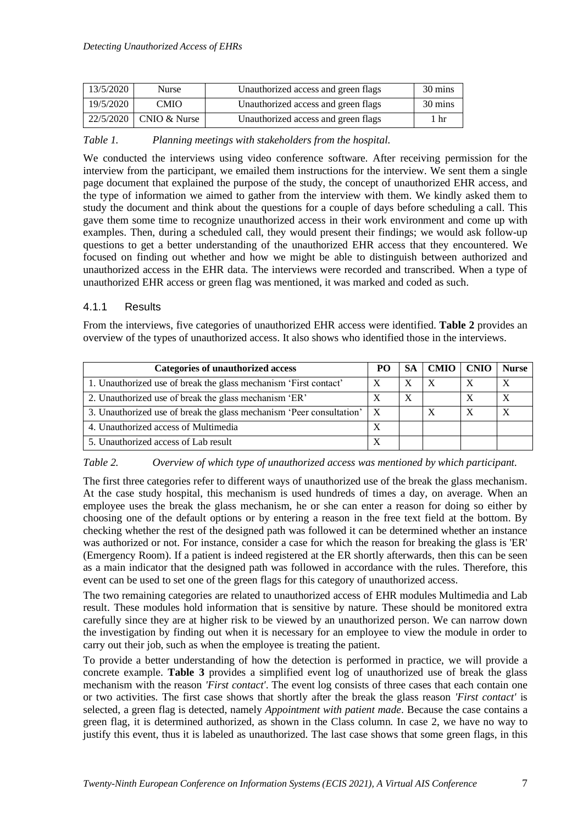| 13/5/2020 | <b>Nurse</b>             | Unauthorized access and green flags | 30 mins |
|-----------|--------------------------|-------------------------------------|---------|
| 19/5/2020 | CMIO                     | Unauthorized access and green flags | 30 mins |
|           | 22/5/2020   CNIO & Nurse | Unauthorized access and green flags | 1 hr    |

#### *Table 1. Planning meetings with stakeholders from the hospital.*

We conducted the interviews using video conference software. After receiving permission for the interview from the participant, we emailed them instructions for the interview. We sent them a single page document that explained the purpose of the study, the concept of unauthorized EHR access, and the type of information we aimed to gather from the interview with them. We kindly asked them to study the document and think about the questions for a couple of days before scheduling a call. This gave them some time to recognize unauthorized access in their work environment and come up with examples. Then, during a scheduled call, they would present their findings; we would ask follow-up questions to get a better understanding of the unauthorized EHR access that they encountered. We focused on finding out whether and how we might be able to distinguish between authorized and unauthorized access in the EHR data. The interviews were recorded and transcribed. When a type of unauthorized EHR access or green flag was mentioned, it was marked and coded as such.

#### 4.1.1 Results

From the interviews, five categories of unauthorized EHR access were identified. **Table 2** provides an overview of the types of unauthorized access. It also shows who identified those in the interviews.

| <b>Categories of unauthorized access</b>                                 | PO. |   | SA   CMIO   CNIO |   | <b>Nurse</b>     |
|--------------------------------------------------------------------------|-----|---|------------------|---|------------------|
| 1. Unauthorized use of break the glass mechanism 'First contact'         |     | X | X                | X |                  |
| 2. Unauthorized use of break the glass mechanism 'ER'                    |     | X |                  | X | X                |
| 3. Unauthorized use of break the glass mechanism 'Peer consultation'   X |     |   | X                | X | $\boldsymbol{X}$ |
| 4. Unauthorized access of Multimedia                                     |     |   |                  |   |                  |
| 5. Unauthorized access of Lab result                                     |     |   |                  |   |                  |

#### *Table 2. Overview of which type of unauthorized access was mentioned by which participant.*

The first three categories refer to different ways of unauthorized use of the break the glass mechanism. At the case study hospital, this mechanism is used hundreds of times a day, on average. When an employee uses the break the glass mechanism, he or she can enter a reason for doing so either by choosing one of the default options or by entering a reason in the free text field at the bottom. By checking whether the rest of the designed path was followed it can be determined whether an instance was authorized or not. For instance, consider a case for which the reason for breaking the glass is 'ER' (Emergency Room). If a patient is indeed registered at the ER shortly afterwards, then this can be seen as a main indicator that the designed path was followed in accordance with the rules. Therefore, this event can be used to set one of the green flags for this category of unauthorized access.

The two remaining categories are related to unauthorized access of EHR modules Multimedia and Lab result. These modules hold information that is sensitive by nature. These should be monitored extra carefully since they are at higher risk to be viewed by an unauthorized person. We can narrow down the investigation by finding out when it is necessary for an employee to view the module in order to carry out their job, such as when the employee is treating the patient.

To provide a better understanding of how the detection is performed in practice, we will provide a concrete example. **Table 3** provides a simplified event log of unauthorized use of break the glass mechanism with the reason *'First contact'*. The event log consists of three cases that each contain one or two activities. The first case shows that shortly after the break the glass reason *'First contact'* is selected, a green flag is detected, namely *Appointment with patient made*. Because the case contains a green flag, it is determined authorized, as shown in the Class column. In case 2, we have no way to justify this event, thus it is labeled as unauthorized. The last case shows that some green flags, in this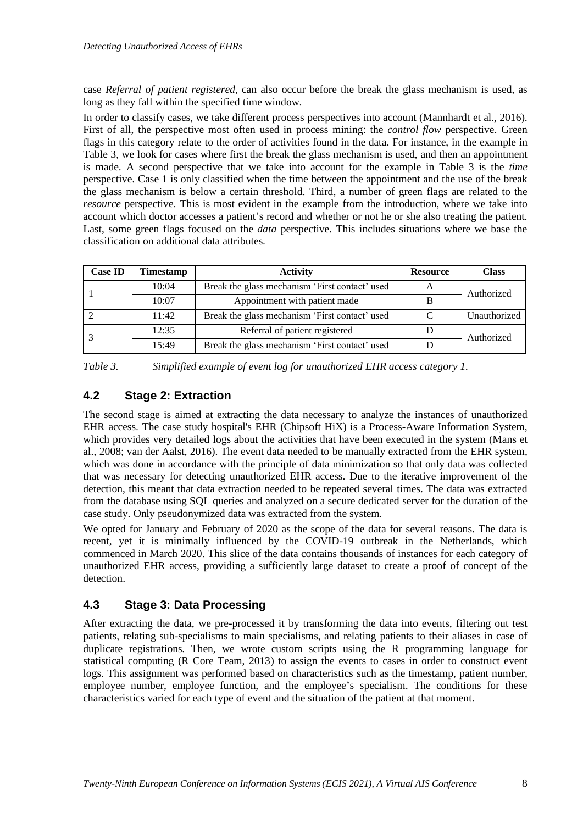case *Referral of patient registered*, can also occur before the break the glass mechanism is used, as long as they fall within the specified time window.

In order to classify cases, we take different process perspectives into account (Mannhardt et al., 2016). First of all, the perspective most often used in process mining: the *control flow* perspective. Green flags in this category relate to the order of activities found in the data. For instance, in the example in Table 3, we look for cases where first the break the glass mechanism is used, and then an appointment is made. A second perspective that we take into account for the example in Table 3 is the *time* perspective. Case 1 is only classified when the time between the appointment and the use of the break the glass mechanism is below a certain threshold. Third, a number of green flags are related to the *resource* perspective. This is most evident in the example from the introduction, where we take into account which doctor accesses a patient's record and whether or not he or she also treating the patient. Last, some green flags focused on the *data* perspective. This includes situations where we base the classification on additional data attributes.

| <b>Case ID</b> | <b>Timestamp</b>                                        | <b>Activity</b>                                | <b>Resource</b> | <b>Class</b> |  |
|----------------|---------------------------------------------------------|------------------------------------------------|-----------------|--------------|--|
|                | Break the glass mechanism 'First contact' used<br>10:04 |                                                |                 | Authorized   |  |
|                | 10:07                                                   | Appointment with patient made                  |                 |              |  |
|                | 11:42                                                   | Break the glass mechanism 'First contact' used |                 | Unauthorized |  |
|                | 12:35                                                   | Referral of patient registered                 |                 | Authorized   |  |
|                | 15:49                                                   | Break the glass mechanism 'First contact' used |                 |              |  |

*Table 3. Simplified example of event log for unauthorized EHR access category 1.*

## **4.2 Stage 2: Extraction**

The second stage is aimed at extracting the data necessary to analyze the instances of unauthorized EHR access. The case study hospital's EHR (Chipsoft HiX) is a Process-Aware Information System, which provides very detailed logs about the activities that have been executed in the system (Mans et al., 2008; van der Aalst, 2016). The event data needed to be manually extracted from the EHR system, which was done in accordance with the principle of data minimization so that only data was collected that was necessary for detecting unauthorized EHR access. Due to the iterative improvement of the detection, this meant that data extraction needed to be repeated several times. The data was extracted from the database using SQL queries and analyzed on a secure dedicated server for the duration of the case study. Only pseudonymized data was extracted from the system.

We opted for January and February of 2020 as the scope of the data for several reasons. The data is recent, yet it is minimally influenced by the COVID-19 outbreak in the Netherlands, which commenced in March 2020. This slice of the data contains thousands of instances for each category of unauthorized EHR access, providing a sufficiently large dataset to create a proof of concept of the detection.

## **4.3 Stage 3: Data Processing**

After extracting the data, we pre-processed it by transforming the data into events, filtering out test patients, relating sub-specialisms to main specialisms, and relating patients to their aliases in case of duplicate registrations. Then, we wrote custom scripts using the R programming language for statistical computing (R Core Team, 2013) to assign the events to cases in order to construct event logs. This assignment was performed based on characteristics such as the timestamp, patient number, employee number, employee function, and the employee's specialism. The conditions for these characteristics varied for each type of event and the situation of the patient at that moment.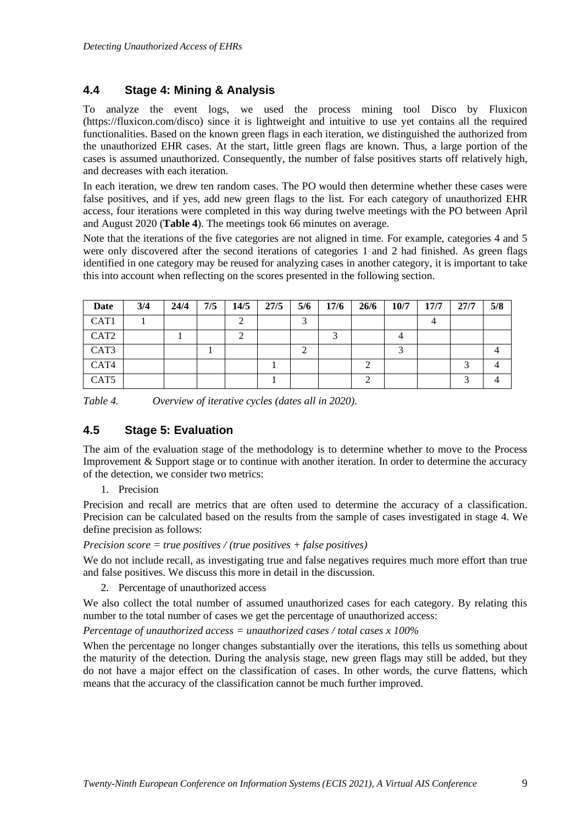### **4.4 Stage 4: Mining & Analysis**

To analyze the event logs, we used the process mining tool Disco by Fluxicon (https://fluxicon.com/disco) since it is lightweight and intuitive to use yet contains all the required functionalities. Based on the known green flags in each iteration, we distinguished the authorized from the unauthorized EHR cases. At the start, little green flags are known. Thus, a large portion of the cases is assumed unauthorized. Consequently, the number of false positives starts off relatively high, and decreases with each iteration.

In each iteration, we drew ten random cases. The PO would then determine whether these cases were false positives, and if yes, add new green flags to the list. For each category of unauthorized EHR access, four iterations were completed in this way during twelve meetings with the PO between April and August 2020 (**Table 4**). The meetings took 66 minutes on average.

Note that the iterations of the five categories are not aligned in time. For example, categories 4 and 5 were only discovered after the second iterations of categories 1 and 2 had finished. As green flags identified in one category may be reused for analyzing cases in another category, it is important to take this into account when reflecting on the scores presented in the following section.

| Date             | 3/4 | 24/4 | 7/5 | 14/5 | 27/5 | 5/6 | 17/6 | 26/6 | 10/7 | 17/7 | 27/7 | 5/8 |
|------------------|-----|------|-----|------|------|-----|------|------|------|------|------|-----|
| CAT1             |     |      |     |      |      |     |      |      |      | 4    |      |     |
| CAT <sub>2</sub> |     |      |     |      |      |     |      |      | 4    |      |      |     |
| CAT3             |     |      |     |      |      |     |      |      |      |      |      |     |
| CAT4             |     |      |     |      |      |     |      |      |      |      |      |     |
| CAT <sub>5</sub> |     |      |     |      |      |     |      |      |      |      |      |     |

*Table 4. Overview of iterative cycles (dates all in 2020).*

## **4.5 Stage 5: Evaluation**

The aim of the evaluation stage of the methodology is to determine whether to move to the Process Improvement & Support stage or to continue with another iteration. In order to determine the accuracy of the detection, we consider two metrics:

1. Precision

Precision and recall are metrics that are often used to determine the accuracy of a classification. Precision can be calculated based on the results from the sample of cases investigated in stage 4. We define precision as follows:

#### *Precision score = true positives / (true positives + false positives)*

We do not include recall, as investigating true and false negatives requires much more effort than true and false positives. We discuss this more in detail in the discussion.

2. Percentage of unauthorized access

We also collect the total number of assumed unauthorized cases for each category. By relating this number to the total number of cases we get the percentage of unauthorized access:

#### *Percentage of unauthorized access = unauthorized cases / total cases x 100%*

When the percentage no longer changes substantially over the iterations, this tells us something about the maturity of the detection. During the analysis stage, new green flags may still be added, but they do not have a major effect on the classification of cases. In other words, the curve flattens, which means that the accuracy of the classification cannot be much further improved.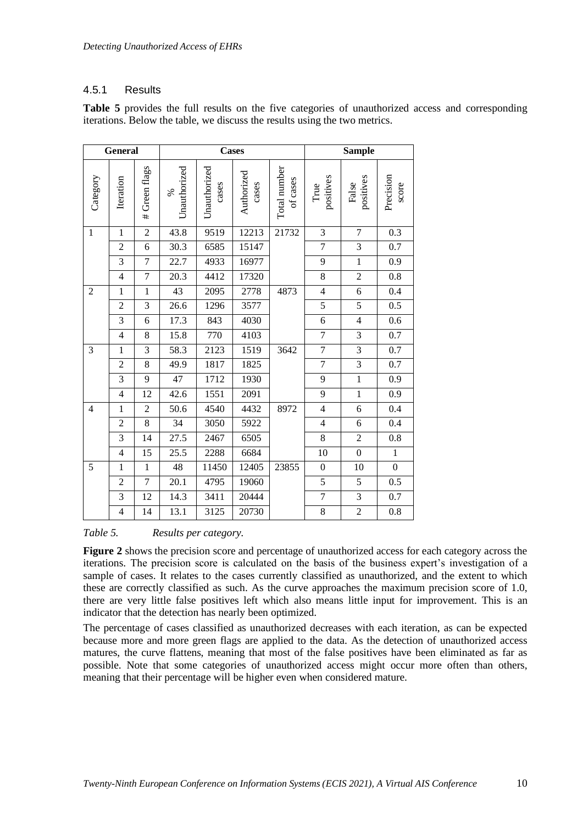### 4.5.1 Results

| <b>General</b>   |                |                |                      | <b>Cases</b>          |                     |                          | <b>Sample</b>            |                    |                    |  |
|------------------|----------------|----------------|----------------------|-----------------------|---------------------|--------------------------|--------------------------|--------------------|--------------------|--|
| Category         | Iteration      | # Green flags  | Unauthorized<br>$\%$ | Unauthorized<br>cases | Authorized<br>cases | Total number<br>of cases | positives<br>True        | positives<br>False | Precision<br>score |  |
| $\mathbf{1}$     | $\mathbf{1}$   | $\overline{2}$ | 43.8                 | 9519                  | 12213               | 21732                    | $\mathfrak{Z}$           | $\overline{7}$     | 0.3                |  |
|                  | $\overline{2}$ | 6              | 30.3                 | 6585                  | 15147               |                          | $\overline{7}$           | 3                  | 0.7                |  |
|                  | 3              | $\overline{7}$ | 22.7                 | 4933                  | 16977               |                          | 9                        | $\mathbf{1}$       | 0.9                |  |
|                  | $\overline{4}$ | $\overline{7}$ | 20.3                 | 4412                  | 17320               |                          | 8                        | $\overline{2}$     | 0.8                |  |
| $\boldsymbol{2}$ | $\mathbf{1}$   | $\mathbf{1}$   | 43                   | 2095                  | 2778                | 4873                     | $\overline{\mathcal{L}}$ | 6                  | 0.4                |  |
|                  | $\overline{2}$ | 3              | 26.6                 | 1296                  | 3577                |                          | 5                        | 5                  | 0.5                |  |
|                  | $\overline{3}$ | 6              | 17.3                 | 843                   | 4030                |                          | 6                        | $\overline{4}$     | 0.6                |  |
|                  | $\overline{4}$ | 8              | 15.8                 | 770                   | 4103                |                          | $\boldsymbol{7}$         | 3                  | 0.7                |  |
| 3                | $\mathbf{1}$   | $\overline{3}$ | 58.3                 | 2123                  | 1519                | 3642                     | $\overline{7}$           | $\overline{3}$     | 0.7                |  |
|                  | $\overline{2}$ | 8              | 49.9                 | 1817                  | 1825                |                          | $\boldsymbol{7}$         | 3                  | 0.7                |  |
|                  | $\overline{3}$ | 9              | 47                   | 1712                  | 1930                |                          | $\overline{9}$           | $\overline{1}$     | 0.9                |  |
|                  | $\overline{4}$ | 12             | 42.6                 | 1551                  | 2091                |                          | 9                        | $\mathbf{1}$       | 0.9                |  |
| $\overline{4}$   | $\mathbf{1}$   | $\overline{2}$ | 50.6                 | 4540                  | 4432                | 8972                     | $\overline{4}$           | $\sqrt{6}$         | 0.4                |  |
|                  | $\overline{2}$ | 8              | 34                   | 3050                  | 5922                |                          | $\overline{4}$           | 6                  | 0.4                |  |
|                  | 3              | 14             | 27.5                 | 2467                  | 6505                |                          | 8                        | $\overline{2}$     | 0.8                |  |
|                  | $\overline{4}$ | 15             | 25.5                 | 2288                  | 6684                |                          | 10                       | $\boldsymbol{0}$   | $\mathbf{1}$       |  |
| 5                | $\mathbf{1}$   | $\mathbf{1}$   | 48                   | 11450                 | 12405               | 23855                    | $\boldsymbol{0}$         | 10                 | $\boldsymbol{0}$   |  |
|                  | $\overline{2}$ | 7              | 20.1                 | 4795                  | 19060               |                          | 5                        | 5                  | 0.5                |  |
|                  | 3              | 12             | 14.3                 | 3411                  | 20444               |                          | $\boldsymbol{7}$         | 3                  | 0.7                |  |
|                  | $\overline{4}$ | 14             | 13.1                 | 3125                  | 20730               |                          | $\overline{8}$           | $\overline{2}$     | $0.8\,$            |  |

**Table 5** provides the full results on the five categories of unauthorized access and corresponding iterations. Below the table, we discuss the results using the two metrics.

#### *Table 5. Results per category.*

**Figure 2** shows the precision score and percentage of unauthorized access for each category across the iterations. The precision score is calculated on the basis of the business expert's investigation of a sample of cases. It relates to the cases currently classified as unauthorized, and the extent to which these are correctly classified as such. As the curve approaches the maximum precision score of 1.0, there are very little false positives left which also means little input for improvement. This is an indicator that the detection has nearly been optimized.

The percentage of cases classified as unauthorized decreases with each iteration, as can be expected because more and more green flags are applied to the data. As the detection of unauthorized access matures, the curve flattens, meaning that most of the false positives have been eliminated as far as possible. Note that some categories of unauthorized access might occur more often than others, meaning that their percentage will be higher even when considered mature.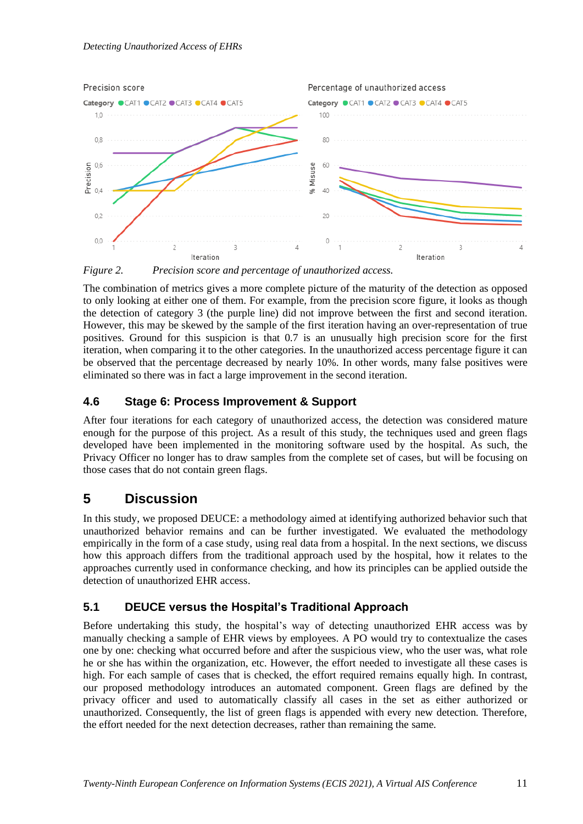

*Figure 2. Precision score and percentage of unauthorized access.*

The combination of metrics gives a more complete picture of the maturity of the detection as opposed to only looking at either one of them. For example, from the precision score figure, it looks as though the detection of category 3 (the purple line) did not improve between the first and second iteration. However, this may be skewed by the sample of the first iteration having an over-representation of true positives. Ground for this suspicion is that 0.7 is an unusually high precision score for the first iteration, when comparing it to the other categories. In the unauthorized access percentage figure it can be observed that the percentage decreased by nearly 10%. In other words, many false positives were eliminated so there was in fact a large improvement in the second iteration.

## **4.6 Stage 6: Process Improvement & Support**

After four iterations for each category of unauthorized access, the detection was considered mature enough for the purpose of this project. As a result of this study, the techniques used and green flags developed have been implemented in the monitoring software used by the hospital. As such, the Privacy Officer no longer has to draw samples from the complete set of cases, but will be focusing on those cases that do not contain green flags.

## **5 Discussion**

In this study, we proposed DEUCE: a methodology aimed at identifying authorized behavior such that unauthorized behavior remains and can be further investigated. We evaluated the methodology empirically in the form of a case study, using real data from a hospital. In the next sections, we discuss how this approach differs from the traditional approach used by the hospital, how it relates to the approaches currently used in conformance checking, and how its principles can be applied outside the detection of unauthorized EHR access.

## **5.1 DEUCE versus the Hospital's Traditional Approach**

Before undertaking this study, the hospital's way of detecting unauthorized EHR access was by manually checking a sample of EHR views by employees. A PO would try to contextualize the cases one by one: checking what occurred before and after the suspicious view, who the user was, what role he or she has within the organization, etc. However, the effort needed to investigate all these cases is high. For each sample of cases that is checked, the effort required remains equally high. In contrast, our proposed methodology introduces an automated component. Green flags are defined by the privacy officer and used to automatically classify all cases in the set as either authorized or unauthorized. Consequently, the list of green flags is appended with every new detection. Therefore, the effort needed for the next detection decreases, rather than remaining the same.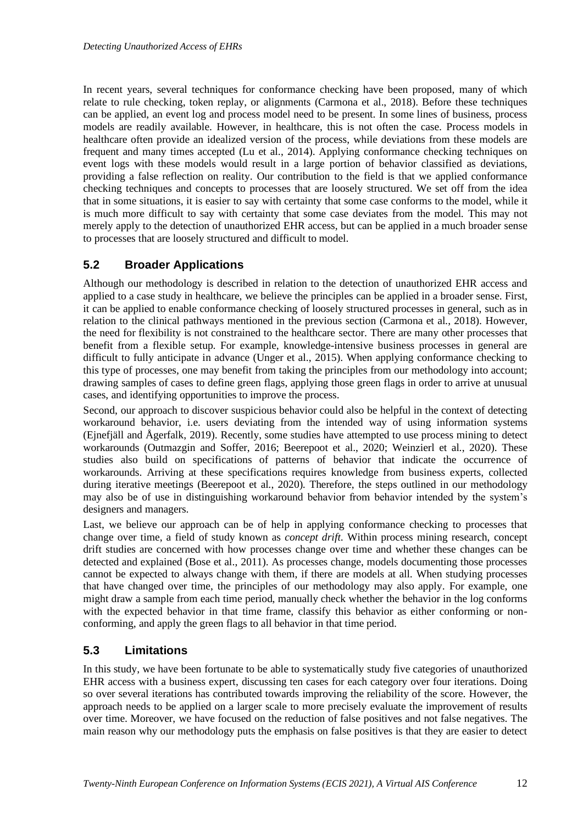In recent years, several techniques for conformance checking have been proposed, many of which relate to rule checking, token replay, or alignments (Carmona et al., 2018). Before these techniques can be applied, an event log and process model need to be present. In some lines of business, process models are readily available. However, in healthcare, this is not often the case. Process models in healthcare often provide an idealized version of the process, while deviations from these models are frequent and many times accepted (Lu et al., 2014). Applying conformance checking techniques on event logs with these models would result in a large portion of behavior classified as deviations, providing a false reflection on reality. Our contribution to the field is that we applied conformance checking techniques and concepts to processes that are loosely structured. We set off from the idea that in some situations, it is easier to say with certainty that some case conforms to the model, while it is much more difficult to say with certainty that some case deviates from the model. This may not merely apply to the detection of unauthorized EHR access, but can be applied in a much broader sense to processes that are loosely structured and difficult to model.

## **5.2 Broader Applications**

Although our methodology is described in relation to the detection of unauthorized EHR access and applied to a case study in healthcare, we believe the principles can be applied in a broader sense. First, it can be applied to enable conformance checking of loosely structured processes in general, such as in relation to the clinical pathways mentioned in the previous section (Carmona et al., 2018). However, the need for flexibility is not constrained to the healthcare sector. There are many other processes that benefit from a flexible setup. For example, knowledge-intensive business processes in general are difficult to fully anticipate in advance (Unger et al., 2015). When applying conformance checking to this type of processes, one may benefit from taking the principles from our methodology into account; drawing samples of cases to define green flags, applying those green flags in order to arrive at unusual cases, and identifying opportunities to improve the process.

Second, our approach to discover suspicious behavior could also be helpful in the context of detecting workaround behavior, i.e. users deviating from the intended way of using information systems (Ejnefjäll and Ågerfalk, 2019). Recently, some studies have attempted to use process mining to detect workarounds (Outmazgin and Soffer, 2016; Beerepoot et al., 2020; Weinzierl et al., 2020). These studies also build on specifications of patterns of behavior that indicate the occurrence of workarounds. Arriving at these specifications requires knowledge from business experts, collected during iterative meetings (Beerepoot et al., 2020). Therefore, the steps outlined in our methodology may also be of use in distinguishing workaround behavior from behavior intended by the system's designers and managers.

Last, we believe our approach can be of help in applying conformance checking to processes that change over time, a field of study known as *concept drift*. Within process mining research, concept drift studies are concerned with how processes change over time and whether these changes can be detected and explained (Bose et al., 2011). As processes change, models documenting those processes cannot be expected to always change with them, if there are models at all. When studying processes that have changed over time, the principles of our methodology may also apply. For example, one might draw a sample from each time period, manually check whether the behavior in the log conforms with the expected behavior in that time frame, classify this behavior as either conforming or nonconforming, and apply the green flags to all behavior in that time period.

## **5.3 Limitations**

In this study, we have been fortunate to be able to systematically study five categories of unauthorized EHR access with a business expert, discussing ten cases for each category over four iterations. Doing so over several iterations has contributed towards improving the reliability of the score. However, the approach needs to be applied on a larger scale to more precisely evaluate the improvement of results over time. Moreover, we have focused on the reduction of false positives and not false negatives. The main reason why our methodology puts the emphasis on false positives is that they are easier to detect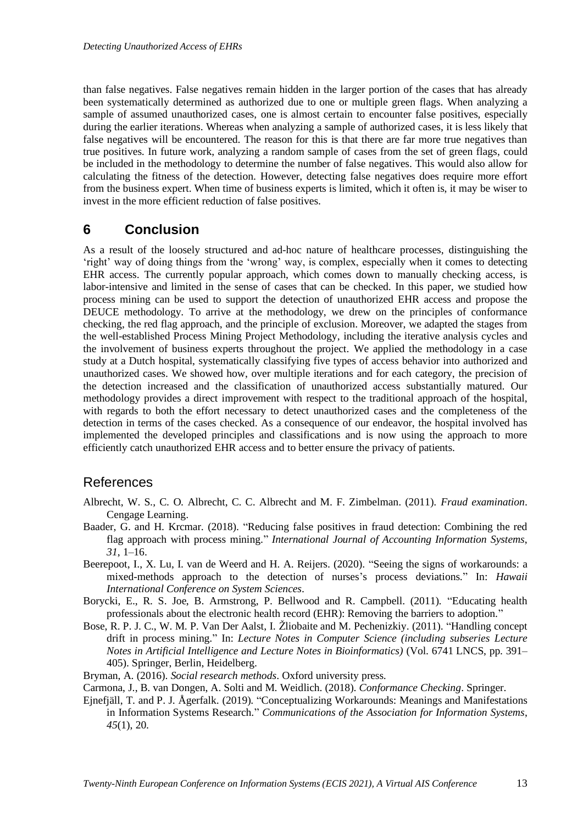than false negatives. False negatives remain hidden in the larger portion of the cases that has already been systematically determined as authorized due to one or multiple green flags. When analyzing a sample of assumed unauthorized cases, one is almost certain to encounter false positives, especially during the earlier iterations. Whereas when analyzing a sample of authorized cases, it is less likely that false negatives will be encountered. The reason for this is that there are far more true negatives than true positives. In future work, analyzing a random sample of cases from the set of green flags, could be included in the methodology to determine the number of false negatives. This would also allow for calculating the fitness of the detection. However, detecting false negatives does require more effort from the business expert. When time of business experts is limited, which it often is, it may be wiser to invest in the more efficient reduction of false positives.

## **6 Conclusion**

As a result of the loosely structured and ad-hoc nature of healthcare processes, distinguishing the 'right' way of doing things from the 'wrong' way, is complex, especially when it comes to detecting EHR access. The currently popular approach, which comes down to manually checking access, is labor-intensive and limited in the sense of cases that can be checked. In this paper, we studied how process mining can be used to support the detection of unauthorized EHR access and propose the DEUCE methodology. To arrive at the methodology, we drew on the principles of conformance checking, the red flag approach, and the principle of exclusion. Moreover, we adapted the stages from the well-established Process Mining Project Methodology, including the iterative analysis cycles and the involvement of business experts throughout the project. We applied the methodology in a case study at a Dutch hospital, systematically classifying five types of access behavior into authorized and unauthorized cases. We showed how, over multiple iterations and for each category, the precision of the detection increased and the classification of unauthorized access substantially matured. Our methodology provides a direct improvement with respect to the traditional approach of the hospital, with regards to both the effort necessary to detect unauthorized cases and the completeness of the detection in terms of the cases checked. As a consequence of our endeavor, the hospital involved has implemented the developed principles and classifications and is now using the approach to more efficiently catch unauthorized EHR access and to better ensure the privacy of patients.

## References

- Albrecht, W. S., C. O. Albrecht, C. C. Albrecht and M. F. Zimbelman. (2011). *Fraud examination*. Cengage Learning.
- Baader, G. and H. Krcmar. (2018). "Reducing false positives in fraud detection: Combining the red flag approach with process mining." *International Journal of Accounting Information Systems*, *31*, 1–16.
- Beerepoot, I., X. Lu, I. van de Weerd and H. A. Reijers. (2020). "Seeing the signs of workarounds: a mixed-methods approach to the detection of nurses's process deviations." In: *Hawaii International Conference on System Sciences*.
- Borycki, E., R. S. Joe, B. Armstrong, P. Bellwood and R. Campbell. (2011). "Educating health professionals about the electronic health record (EHR): Removing the barriers to adoption."
- Bose, R. P. J. C., W. M. P. Van Der Aalst, I. Žliobaite and M. Pechenizkiy. (2011). "Handling concept drift in process mining." In: *Lecture Notes in Computer Science (including subseries Lecture Notes in Artificial Intelligence and Lecture Notes in Bioinformatics)* (Vol. 6741 LNCS, pp. 391– 405). Springer, Berlin, Heidelberg.
- Bryman, A. (2016). *Social research methods*. Oxford university press.
- Carmona, J., B. van Dongen, A. Solti and M. Weidlich. (2018). *Conformance Checking*. Springer.
- Ejnefjäll, T. and P. J. Ågerfalk. (2019). "Conceptualizing Workarounds: Meanings and Manifestations in Information Systems Research." *Communications of the Association for Information Systems*, *45*(1), 20.